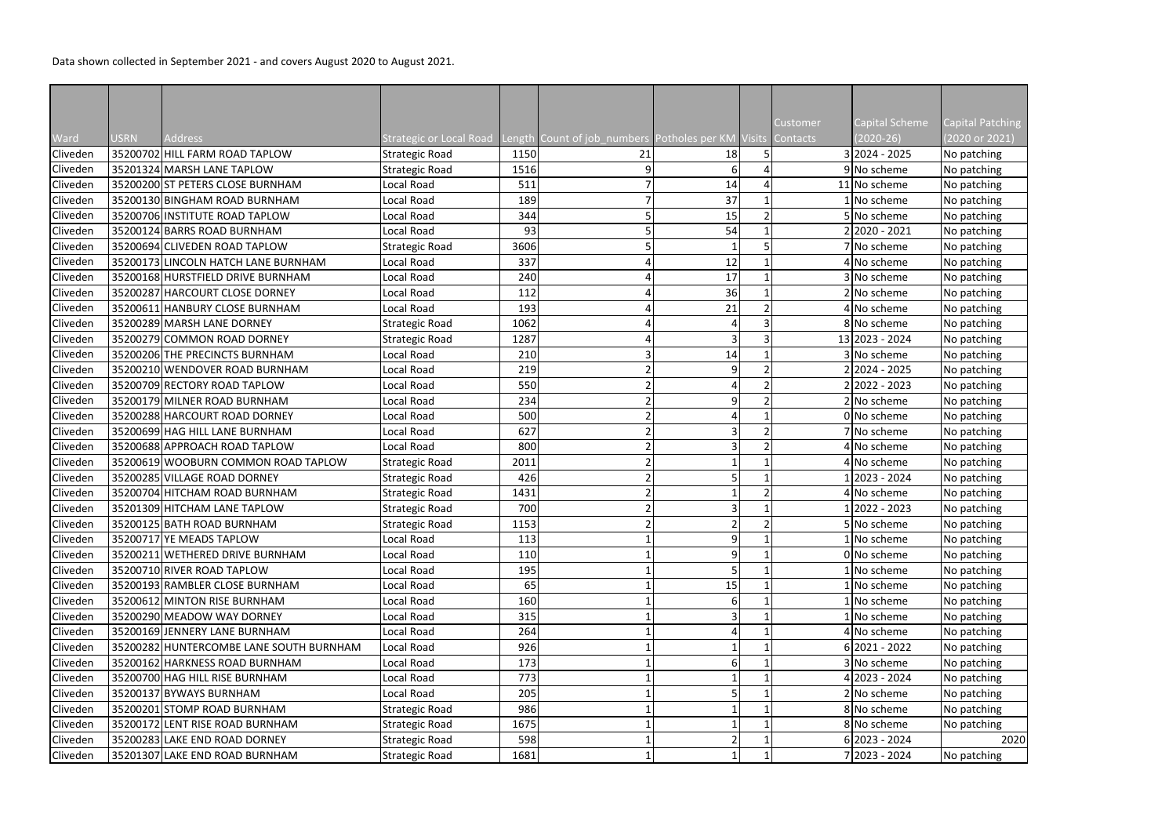Data shown collected in September 2021 - and covers August 2020 to August 2021.

| <b>Capital Scheme</b><br>Capital Patching<br><b>Customer</b><br>Ward<br>(2020 or 2021)<br>Address<br>$(2020-26)$<br><b>USRN</b><br>Strategic or Local Road Length Count of job_numbers Potholes per KM Visits Contacts<br>35200702 HILL FARM ROAD TAPLOW<br>3 2024 - 2025<br>Cliveden<br>1150<br>No patching<br><b>Strategic Road</b><br>21<br>18<br>35201324 MARSH LANE TAPLOW<br>Cliveden<br>9 No scheme<br>No patching<br><b>Strategic Road</b><br>1516<br>6<br>Cliveden<br>35200200 ST PETERS CLOSE BURNHAM<br>ocal Road<br>511<br>14<br>11 No scheme<br>No patching<br>37<br>Cliveden<br>35200130 BINGHAM ROAD BURNHAM<br>Local Road<br>189<br>1 No scheme<br>No patching<br>Cliveden<br>35200706 INSTITUTE ROAD TAPLOW<br>15<br>ocal Road<br>344<br>5 No scheme<br>No patching<br>54<br>Cliveden<br>35200124 BARRS ROAD BURNHAM<br>Local Road<br>93<br>2 2020 - 2021<br>No patching<br>35200694 CLIVEDEN ROAD TAPLOW<br>Cliveden<br><b>Strategic Road</b><br>3606<br>7 No scheme<br>No patching<br>Cliveden<br>12<br>35200173 LINCOLN HATCH LANE BURNHAM<br>Local Road<br>337<br>4 No scheme<br>No patching<br>17<br>Cliveden<br>35200168 HURSTFIELD DRIVE BURNHAM<br>Local Road<br>3 No scheme<br>No patching<br>240<br>35200287 HARCOURT CLOSE DORNEY<br>36<br>Cliveden<br>ocal Road<br>112<br>2 No scheme<br>No patching<br>Cliveden<br>21<br>35200611 HANBURY CLOSE BURNHAM<br>Local Road<br>193<br>4 No scheme<br>No patching<br>35200289 MARSH LANE DORNEY<br>Cliveden<br>1062<br>8 No scheme<br>No patching<br><b>Strategic Road</b><br>13 2023 - 2024<br>35200279 COMMON ROAD DORNEY<br>1287<br>$\overline{3}$<br><b>Strategic Road</b><br>No patching<br>35200206 THE PRECINCTS BURNHAM<br>14<br>Cliveden<br>Local Road<br>3 No scheme<br>No patching<br>210<br>$\overline{9}$<br>35200210 WENDOVER ROAD BURNHAM<br>219<br>22024 - 2025<br>ocal Road<br>No patching<br>35200709 RECTORY ROAD TAPLOW<br>550<br>2 2022 - 2023<br>Local Road<br>No patching<br>35200179 MILNER ROAD BURNHAM<br>$\overline{9}$<br>Local Road<br>234<br>2 No scheme<br>No patching<br>35200288 HARCOURT ROAD DORNEY<br>ocal Road<br>500<br>0 No scheme<br>No patching<br>35200699 HAG HILL LANE BURNHAM<br>627<br>Local Road<br>7 No scheme<br>No patching<br>35200688 APPROACH ROAD TAPLOW<br>800<br>Cliveden<br>Local Road<br>No patching<br>4 No scheme<br>Cliveden<br>35200619 WOOBURN COMMON ROAD TAPLOW<br>4 No scheme<br><b>Strategic Road</b><br>2011<br>No patching<br>35200285 VILLAGE ROAD DORNEY<br>426<br>2023 - 2024<br>No patching<br><b>Strategic Road</b><br>35200704 HITCHAM ROAD BURNHAM<br>4 No scheme<br><b>Strategic Road</b><br>1431<br>No patching<br>35201309 HITCHAM LANE TAPLOW<br>2022 - 2023<br><b>Strategic Road</b><br>700<br>No patching<br>35200125 BATH ROAD BURNHAM<br>1153<br>5 No scheme<br>No patching<br><b>Strategic Road</b><br>Cliveden<br>9 <sup>1</sup><br>35200717 YE MEADS TAPLOW<br>113<br>1 No scheme<br>Local Road<br>No patching<br>9 <sup>1</sup><br>35200211 WETHERED DRIVE BURNHAM<br>0 No scheme<br>Local Road<br>110<br>No patching<br>35200710 RIVER ROAD TAPLOW<br>195<br>Cliveden<br>Local Road<br>1 No scheme<br>No patching<br>Cliveden<br>35200193 RAMBLER CLOSE BURNHAM<br>65<br>15<br>No patching<br>Local Road<br>1 No scheme<br>160<br>Cliveden<br>35200612 MINTON RISE BURNHAM<br>Local Road<br>1 No scheme<br>No patching<br>6<br>35200290 MEADOW WAY DORNEY<br>315<br>$\overline{\mathsf{3}}$<br>Cliveden<br>Local Road<br>1 No scheme<br>No patching<br>Cliveden<br>35200169 JENNERY LANE BURNHAM<br>No patching<br>Local Road<br>264<br>4 No scheme<br>926<br>$6 2021 - 2022$<br>Cliveden<br>35200282 HUNTERCOMBE LANE SOUTH BURNHAM<br>Local Road<br>No patching<br>Cliveden<br>35200162 HARKNESS ROAD BURNHAM<br>173<br>3 No scheme<br>No patching<br>Local Road<br>6<br>35200700 HAG HILL RISE BURNHAM<br>773<br>Cliveden<br>Local Road<br>4 2023 - 2024<br>No patching<br>35200137 BYWAYS BURNHAM<br>205<br>Cliveden<br>Local Road<br>2 No scheme<br>No patching<br>Cliveden<br>35200201 STOMP ROAD BURNHAM<br><b>Strategic Road</b><br>986<br>8 No scheme<br>No patching<br>35200172 LENT RISE ROAD BURNHAM |          |  |                       |      |  |  |             |             |
|----------------------------------------------------------------------------------------------------------------------------------------------------------------------------------------------------------------------------------------------------------------------------------------------------------------------------------------------------------------------------------------------------------------------------------------------------------------------------------------------------------------------------------------------------------------------------------------------------------------------------------------------------------------------------------------------------------------------------------------------------------------------------------------------------------------------------------------------------------------------------------------------------------------------------------------------------------------------------------------------------------------------------------------------------------------------------------------------------------------------------------------------------------------------------------------------------------------------------------------------------------------------------------------------------------------------------------------------------------------------------------------------------------------------------------------------------------------------------------------------------------------------------------------------------------------------------------------------------------------------------------------------------------------------------------------------------------------------------------------------------------------------------------------------------------------------------------------------------------------------------------------------------------------------------------------------------------------------------------------------------------------------------------------------------------------------------------------------------------------------------------------------------------------------------------------------------------------------------------------------------------------------------------------------------------------------------------------------------------------------------------------------------------------------------------------------------------------------------------------------------------------------------------------------------------------------------------------------------------------------------------------------------------------------------------------------------------------------------------------------------------------------------------------------------------------------------------------------------------------------------------------------------------------------------------------------------------------------------------------------------------------------------------------------------------------------------------------------------------------------------------------------------------------------------------------------------------------------------------------------------------------------------------------------------------------------------------------------------------------------------------------------------------------------------------------------------------------------------------------------------------------------------------------------------------------------------------------------------------------------------------------------------------------------------------------------------------------------------------------------------------------------------------------------------------------------------------------------------------------------------------------------------------------------------------------------------------------------------------------------------------------------------------------------------------------------------------------------------------------------------------------------------------------------------------|----------|--|-----------------------|------|--|--|-------------|-------------|
|                                                                                                                                                                                                                                                                                                                                                                                                                                                                                                                                                                                                                                                                                                                                                                                                                                                                                                                                                                                                                                                                                                                                                                                                                                                                                                                                                                                                                                                                                                                                                                                                                                                                                                                                                                                                                                                                                                                                                                                                                                                                                                                                                                                                                                                                                                                                                                                                                                                                                                                                                                                                                                                                                                                                                                                                                                                                                                                                                                                                                                                                                                                                                                                                                                                                                                                                                                                                                                                                                                                                                                                                                                                                                                                                                                                                                                                                                                                                                                                                                                                                                                                                                                                  |          |  |                       |      |  |  |             |             |
|                                                                                                                                                                                                                                                                                                                                                                                                                                                                                                                                                                                                                                                                                                                                                                                                                                                                                                                                                                                                                                                                                                                                                                                                                                                                                                                                                                                                                                                                                                                                                                                                                                                                                                                                                                                                                                                                                                                                                                                                                                                                                                                                                                                                                                                                                                                                                                                                                                                                                                                                                                                                                                                                                                                                                                                                                                                                                                                                                                                                                                                                                                                                                                                                                                                                                                                                                                                                                                                                                                                                                                                                                                                                                                                                                                                                                                                                                                                                                                                                                                                                                                                                                                                  |          |  |                       |      |  |  |             |             |
|                                                                                                                                                                                                                                                                                                                                                                                                                                                                                                                                                                                                                                                                                                                                                                                                                                                                                                                                                                                                                                                                                                                                                                                                                                                                                                                                                                                                                                                                                                                                                                                                                                                                                                                                                                                                                                                                                                                                                                                                                                                                                                                                                                                                                                                                                                                                                                                                                                                                                                                                                                                                                                                                                                                                                                                                                                                                                                                                                                                                                                                                                                                                                                                                                                                                                                                                                                                                                                                                                                                                                                                                                                                                                                                                                                                                                                                                                                                                                                                                                                                                                                                                                                                  |          |  |                       |      |  |  |             |             |
|                                                                                                                                                                                                                                                                                                                                                                                                                                                                                                                                                                                                                                                                                                                                                                                                                                                                                                                                                                                                                                                                                                                                                                                                                                                                                                                                                                                                                                                                                                                                                                                                                                                                                                                                                                                                                                                                                                                                                                                                                                                                                                                                                                                                                                                                                                                                                                                                                                                                                                                                                                                                                                                                                                                                                                                                                                                                                                                                                                                                                                                                                                                                                                                                                                                                                                                                                                                                                                                                                                                                                                                                                                                                                                                                                                                                                                                                                                                                                                                                                                                                                                                                                                                  |          |  |                       |      |  |  |             |             |
|                                                                                                                                                                                                                                                                                                                                                                                                                                                                                                                                                                                                                                                                                                                                                                                                                                                                                                                                                                                                                                                                                                                                                                                                                                                                                                                                                                                                                                                                                                                                                                                                                                                                                                                                                                                                                                                                                                                                                                                                                                                                                                                                                                                                                                                                                                                                                                                                                                                                                                                                                                                                                                                                                                                                                                                                                                                                                                                                                                                                                                                                                                                                                                                                                                                                                                                                                                                                                                                                                                                                                                                                                                                                                                                                                                                                                                                                                                                                                                                                                                                                                                                                                                                  |          |  |                       |      |  |  |             |             |
|                                                                                                                                                                                                                                                                                                                                                                                                                                                                                                                                                                                                                                                                                                                                                                                                                                                                                                                                                                                                                                                                                                                                                                                                                                                                                                                                                                                                                                                                                                                                                                                                                                                                                                                                                                                                                                                                                                                                                                                                                                                                                                                                                                                                                                                                                                                                                                                                                                                                                                                                                                                                                                                                                                                                                                                                                                                                                                                                                                                                                                                                                                                                                                                                                                                                                                                                                                                                                                                                                                                                                                                                                                                                                                                                                                                                                                                                                                                                                                                                                                                                                                                                                                                  |          |  |                       |      |  |  |             |             |
|                                                                                                                                                                                                                                                                                                                                                                                                                                                                                                                                                                                                                                                                                                                                                                                                                                                                                                                                                                                                                                                                                                                                                                                                                                                                                                                                                                                                                                                                                                                                                                                                                                                                                                                                                                                                                                                                                                                                                                                                                                                                                                                                                                                                                                                                                                                                                                                                                                                                                                                                                                                                                                                                                                                                                                                                                                                                                                                                                                                                                                                                                                                                                                                                                                                                                                                                                                                                                                                                                                                                                                                                                                                                                                                                                                                                                                                                                                                                                                                                                                                                                                                                                                                  |          |  |                       |      |  |  |             |             |
|                                                                                                                                                                                                                                                                                                                                                                                                                                                                                                                                                                                                                                                                                                                                                                                                                                                                                                                                                                                                                                                                                                                                                                                                                                                                                                                                                                                                                                                                                                                                                                                                                                                                                                                                                                                                                                                                                                                                                                                                                                                                                                                                                                                                                                                                                                                                                                                                                                                                                                                                                                                                                                                                                                                                                                                                                                                                                                                                                                                                                                                                                                                                                                                                                                                                                                                                                                                                                                                                                                                                                                                                                                                                                                                                                                                                                                                                                                                                                                                                                                                                                                                                                                                  |          |  |                       |      |  |  |             |             |
|                                                                                                                                                                                                                                                                                                                                                                                                                                                                                                                                                                                                                                                                                                                                                                                                                                                                                                                                                                                                                                                                                                                                                                                                                                                                                                                                                                                                                                                                                                                                                                                                                                                                                                                                                                                                                                                                                                                                                                                                                                                                                                                                                                                                                                                                                                                                                                                                                                                                                                                                                                                                                                                                                                                                                                                                                                                                                                                                                                                                                                                                                                                                                                                                                                                                                                                                                                                                                                                                                                                                                                                                                                                                                                                                                                                                                                                                                                                                                                                                                                                                                                                                                                                  |          |  |                       |      |  |  |             |             |
|                                                                                                                                                                                                                                                                                                                                                                                                                                                                                                                                                                                                                                                                                                                                                                                                                                                                                                                                                                                                                                                                                                                                                                                                                                                                                                                                                                                                                                                                                                                                                                                                                                                                                                                                                                                                                                                                                                                                                                                                                                                                                                                                                                                                                                                                                                                                                                                                                                                                                                                                                                                                                                                                                                                                                                                                                                                                                                                                                                                                                                                                                                                                                                                                                                                                                                                                                                                                                                                                                                                                                                                                                                                                                                                                                                                                                                                                                                                                                                                                                                                                                                                                                                                  |          |  |                       |      |  |  |             |             |
|                                                                                                                                                                                                                                                                                                                                                                                                                                                                                                                                                                                                                                                                                                                                                                                                                                                                                                                                                                                                                                                                                                                                                                                                                                                                                                                                                                                                                                                                                                                                                                                                                                                                                                                                                                                                                                                                                                                                                                                                                                                                                                                                                                                                                                                                                                                                                                                                                                                                                                                                                                                                                                                                                                                                                                                                                                                                                                                                                                                                                                                                                                                                                                                                                                                                                                                                                                                                                                                                                                                                                                                                                                                                                                                                                                                                                                                                                                                                                                                                                                                                                                                                                                                  |          |  |                       |      |  |  |             |             |
|                                                                                                                                                                                                                                                                                                                                                                                                                                                                                                                                                                                                                                                                                                                                                                                                                                                                                                                                                                                                                                                                                                                                                                                                                                                                                                                                                                                                                                                                                                                                                                                                                                                                                                                                                                                                                                                                                                                                                                                                                                                                                                                                                                                                                                                                                                                                                                                                                                                                                                                                                                                                                                                                                                                                                                                                                                                                                                                                                                                                                                                                                                                                                                                                                                                                                                                                                                                                                                                                                                                                                                                                                                                                                                                                                                                                                                                                                                                                                                                                                                                                                                                                                                                  |          |  |                       |      |  |  |             |             |
|                                                                                                                                                                                                                                                                                                                                                                                                                                                                                                                                                                                                                                                                                                                                                                                                                                                                                                                                                                                                                                                                                                                                                                                                                                                                                                                                                                                                                                                                                                                                                                                                                                                                                                                                                                                                                                                                                                                                                                                                                                                                                                                                                                                                                                                                                                                                                                                                                                                                                                                                                                                                                                                                                                                                                                                                                                                                                                                                                                                                                                                                                                                                                                                                                                                                                                                                                                                                                                                                                                                                                                                                                                                                                                                                                                                                                                                                                                                                                                                                                                                                                                                                                                                  |          |  |                       |      |  |  |             |             |
|                                                                                                                                                                                                                                                                                                                                                                                                                                                                                                                                                                                                                                                                                                                                                                                                                                                                                                                                                                                                                                                                                                                                                                                                                                                                                                                                                                                                                                                                                                                                                                                                                                                                                                                                                                                                                                                                                                                                                                                                                                                                                                                                                                                                                                                                                                                                                                                                                                                                                                                                                                                                                                                                                                                                                                                                                                                                                                                                                                                                                                                                                                                                                                                                                                                                                                                                                                                                                                                                                                                                                                                                                                                                                                                                                                                                                                                                                                                                                                                                                                                                                                                                                                                  |          |  |                       |      |  |  |             |             |
|                                                                                                                                                                                                                                                                                                                                                                                                                                                                                                                                                                                                                                                                                                                                                                                                                                                                                                                                                                                                                                                                                                                                                                                                                                                                                                                                                                                                                                                                                                                                                                                                                                                                                                                                                                                                                                                                                                                                                                                                                                                                                                                                                                                                                                                                                                                                                                                                                                                                                                                                                                                                                                                                                                                                                                                                                                                                                                                                                                                                                                                                                                                                                                                                                                                                                                                                                                                                                                                                                                                                                                                                                                                                                                                                                                                                                                                                                                                                                                                                                                                                                                                                                                                  |          |  |                       |      |  |  |             |             |
|                                                                                                                                                                                                                                                                                                                                                                                                                                                                                                                                                                                                                                                                                                                                                                                                                                                                                                                                                                                                                                                                                                                                                                                                                                                                                                                                                                                                                                                                                                                                                                                                                                                                                                                                                                                                                                                                                                                                                                                                                                                                                                                                                                                                                                                                                                                                                                                                                                                                                                                                                                                                                                                                                                                                                                                                                                                                                                                                                                                                                                                                                                                                                                                                                                                                                                                                                                                                                                                                                                                                                                                                                                                                                                                                                                                                                                                                                                                                                                                                                                                                                                                                                                                  | Cliveden |  |                       |      |  |  |             |             |
|                                                                                                                                                                                                                                                                                                                                                                                                                                                                                                                                                                                                                                                                                                                                                                                                                                                                                                                                                                                                                                                                                                                                                                                                                                                                                                                                                                                                                                                                                                                                                                                                                                                                                                                                                                                                                                                                                                                                                                                                                                                                                                                                                                                                                                                                                                                                                                                                                                                                                                                                                                                                                                                                                                                                                                                                                                                                                                                                                                                                                                                                                                                                                                                                                                                                                                                                                                                                                                                                                                                                                                                                                                                                                                                                                                                                                                                                                                                                                                                                                                                                                                                                                                                  |          |  |                       |      |  |  |             |             |
|                                                                                                                                                                                                                                                                                                                                                                                                                                                                                                                                                                                                                                                                                                                                                                                                                                                                                                                                                                                                                                                                                                                                                                                                                                                                                                                                                                                                                                                                                                                                                                                                                                                                                                                                                                                                                                                                                                                                                                                                                                                                                                                                                                                                                                                                                                                                                                                                                                                                                                                                                                                                                                                                                                                                                                                                                                                                                                                                                                                                                                                                                                                                                                                                                                                                                                                                                                                                                                                                                                                                                                                                                                                                                                                                                                                                                                                                                                                                                                                                                                                                                                                                                                                  | Cliveden |  |                       |      |  |  |             |             |
|                                                                                                                                                                                                                                                                                                                                                                                                                                                                                                                                                                                                                                                                                                                                                                                                                                                                                                                                                                                                                                                                                                                                                                                                                                                                                                                                                                                                                                                                                                                                                                                                                                                                                                                                                                                                                                                                                                                                                                                                                                                                                                                                                                                                                                                                                                                                                                                                                                                                                                                                                                                                                                                                                                                                                                                                                                                                                                                                                                                                                                                                                                                                                                                                                                                                                                                                                                                                                                                                                                                                                                                                                                                                                                                                                                                                                                                                                                                                                                                                                                                                                                                                                                                  | Cliveden |  |                       |      |  |  |             |             |
|                                                                                                                                                                                                                                                                                                                                                                                                                                                                                                                                                                                                                                                                                                                                                                                                                                                                                                                                                                                                                                                                                                                                                                                                                                                                                                                                                                                                                                                                                                                                                                                                                                                                                                                                                                                                                                                                                                                                                                                                                                                                                                                                                                                                                                                                                                                                                                                                                                                                                                                                                                                                                                                                                                                                                                                                                                                                                                                                                                                                                                                                                                                                                                                                                                                                                                                                                                                                                                                                                                                                                                                                                                                                                                                                                                                                                                                                                                                                                                                                                                                                                                                                                                                  | Cliveden |  |                       |      |  |  |             |             |
|                                                                                                                                                                                                                                                                                                                                                                                                                                                                                                                                                                                                                                                                                                                                                                                                                                                                                                                                                                                                                                                                                                                                                                                                                                                                                                                                                                                                                                                                                                                                                                                                                                                                                                                                                                                                                                                                                                                                                                                                                                                                                                                                                                                                                                                                                                                                                                                                                                                                                                                                                                                                                                                                                                                                                                                                                                                                                                                                                                                                                                                                                                                                                                                                                                                                                                                                                                                                                                                                                                                                                                                                                                                                                                                                                                                                                                                                                                                                                                                                                                                                                                                                                                                  | Cliveden |  |                       |      |  |  |             |             |
|                                                                                                                                                                                                                                                                                                                                                                                                                                                                                                                                                                                                                                                                                                                                                                                                                                                                                                                                                                                                                                                                                                                                                                                                                                                                                                                                                                                                                                                                                                                                                                                                                                                                                                                                                                                                                                                                                                                                                                                                                                                                                                                                                                                                                                                                                                                                                                                                                                                                                                                                                                                                                                                                                                                                                                                                                                                                                                                                                                                                                                                                                                                                                                                                                                                                                                                                                                                                                                                                                                                                                                                                                                                                                                                                                                                                                                                                                                                                                                                                                                                                                                                                                                                  | Cliveden |  |                       |      |  |  |             |             |
|                                                                                                                                                                                                                                                                                                                                                                                                                                                                                                                                                                                                                                                                                                                                                                                                                                                                                                                                                                                                                                                                                                                                                                                                                                                                                                                                                                                                                                                                                                                                                                                                                                                                                                                                                                                                                                                                                                                                                                                                                                                                                                                                                                                                                                                                                                                                                                                                                                                                                                                                                                                                                                                                                                                                                                                                                                                                                                                                                                                                                                                                                                                                                                                                                                                                                                                                                                                                                                                                                                                                                                                                                                                                                                                                                                                                                                                                                                                                                                                                                                                                                                                                                                                  |          |  |                       |      |  |  |             |             |
|                                                                                                                                                                                                                                                                                                                                                                                                                                                                                                                                                                                                                                                                                                                                                                                                                                                                                                                                                                                                                                                                                                                                                                                                                                                                                                                                                                                                                                                                                                                                                                                                                                                                                                                                                                                                                                                                                                                                                                                                                                                                                                                                                                                                                                                                                                                                                                                                                                                                                                                                                                                                                                                                                                                                                                                                                                                                                                                                                                                                                                                                                                                                                                                                                                                                                                                                                                                                                                                                                                                                                                                                                                                                                                                                                                                                                                                                                                                                                                                                                                                                                                                                                                                  |          |  |                       |      |  |  |             |             |
|                                                                                                                                                                                                                                                                                                                                                                                                                                                                                                                                                                                                                                                                                                                                                                                                                                                                                                                                                                                                                                                                                                                                                                                                                                                                                                                                                                                                                                                                                                                                                                                                                                                                                                                                                                                                                                                                                                                                                                                                                                                                                                                                                                                                                                                                                                                                                                                                                                                                                                                                                                                                                                                                                                                                                                                                                                                                                                                                                                                                                                                                                                                                                                                                                                                                                                                                                                                                                                                                                                                                                                                                                                                                                                                                                                                                                                                                                                                                                                                                                                                                                                                                                                                  | Cliveden |  |                       |      |  |  |             |             |
|                                                                                                                                                                                                                                                                                                                                                                                                                                                                                                                                                                                                                                                                                                                                                                                                                                                                                                                                                                                                                                                                                                                                                                                                                                                                                                                                                                                                                                                                                                                                                                                                                                                                                                                                                                                                                                                                                                                                                                                                                                                                                                                                                                                                                                                                                                                                                                                                                                                                                                                                                                                                                                                                                                                                                                                                                                                                                                                                                                                                                                                                                                                                                                                                                                                                                                                                                                                                                                                                                                                                                                                                                                                                                                                                                                                                                                                                                                                                                                                                                                                                                                                                                                                  | Cliveden |  |                       |      |  |  |             |             |
|                                                                                                                                                                                                                                                                                                                                                                                                                                                                                                                                                                                                                                                                                                                                                                                                                                                                                                                                                                                                                                                                                                                                                                                                                                                                                                                                                                                                                                                                                                                                                                                                                                                                                                                                                                                                                                                                                                                                                                                                                                                                                                                                                                                                                                                                                                                                                                                                                                                                                                                                                                                                                                                                                                                                                                                                                                                                                                                                                                                                                                                                                                                                                                                                                                                                                                                                                                                                                                                                                                                                                                                                                                                                                                                                                                                                                                                                                                                                                                                                                                                                                                                                                                                  | Cliveden |  |                       |      |  |  |             |             |
|                                                                                                                                                                                                                                                                                                                                                                                                                                                                                                                                                                                                                                                                                                                                                                                                                                                                                                                                                                                                                                                                                                                                                                                                                                                                                                                                                                                                                                                                                                                                                                                                                                                                                                                                                                                                                                                                                                                                                                                                                                                                                                                                                                                                                                                                                                                                                                                                                                                                                                                                                                                                                                                                                                                                                                                                                                                                                                                                                                                                                                                                                                                                                                                                                                                                                                                                                                                                                                                                                                                                                                                                                                                                                                                                                                                                                                                                                                                                                                                                                                                                                                                                                                                  | Cliveden |  |                       |      |  |  |             |             |
|                                                                                                                                                                                                                                                                                                                                                                                                                                                                                                                                                                                                                                                                                                                                                                                                                                                                                                                                                                                                                                                                                                                                                                                                                                                                                                                                                                                                                                                                                                                                                                                                                                                                                                                                                                                                                                                                                                                                                                                                                                                                                                                                                                                                                                                                                                                                                                                                                                                                                                                                                                                                                                                                                                                                                                                                                                                                                                                                                                                                                                                                                                                                                                                                                                                                                                                                                                                                                                                                                                                                                                                                                                                                                                                                                                                                                                                                                                                                                                                                                                                                                                                                                                                  |          |  |                       |      |  |  |             |             |
|                                                                                                                                                                                                                                                                                                                                                                                                                                                                                                                                                                                                                                                                                                                                                                                                                                                                                                                                                                                                                                                                                                                                                                                                                                                                                                                                                                                                                                                                                                                                                                                                                                                                                                                                                                                                                                                                                                                                                                                                                                                                                                                                                                                                                                                                                                                                                                                                                                                                                                                                                                                                                                                                                                                                                                                                                                                                                                                                                                                                                                                                                                                                                                                                                                                                                                                                                                                                                                                                                                                                                                                                                                                                                                                                                                                                                                                                                                                                                                                                                                                                                                                                                                                  | Cliveden |  |                       |      |  |  |             |             |
|                                                                                                                                                                                                                                                                                                                                                                                                                                                                                                                                                                                                                                                                                                                                                                                                                                                                                                                                                                                                                                                                                                                                                                                                                                                                                                                                                                                                                                                                                                                                                                                                                                                                                                                                                                                                                                                                                                                                                                                                                                                                                                                                                                                                                                                                                                                                                                                                                                                                                                                                                                                                                                                                                                                                                                                                                                                                                                                                                                                                                                                                                                                                                                                                                                                                                                                                                                                                                                                                                                                                                                                                                                                                                                                                                                                                                                                                                                                                                                                                                                                                                                                                                                                  |          |  |                       |      |  |  |             |             |
|                                                                                                                                                                                                                                                                                                                                                                                                                                                                                                                                                                                                                                                                                                                                                                                                                                                                                                                                                                                                                                                                                                                                                                                                                                                                                                                                                                                                                                                                                                                                                                                                                                                                                                                                                                                                                                                                                                                                                                                                                                                                                                                                                                                                                                                                                                                                                                                                                                                                                                                                                                                                                                                                                                                                                                                                                                                                                                                                                                                                                                                                                                                                                                                                                                                                                                                                                                                                                                                                                                                                                                                                                                                                                                                                                                                                                                                                                                                                                                                                                                                                                                                                                                                  |          |  |                       |      |  |  |             |             |
|                                                                                                                                                                                                                                                                                                                                                                                                                                                                                                                                                                                                                                                                                                                                                                                                                                                                                                                                                                                                                                                                                                                                                                                                                                                                                                                                                                                                                                                                                                                                                                                                                                                                                                                                                                                                                                                                                                                                                                                                                                                                                                                                                                                                                                                                                                                                                                                                                                                                                                                                                                                                                                                                                                                                                                                                                                                                                                                                                                                                                                                                                                                                                                                                                                                                                                                                                                                                                                                                                                                                                                                                                                                                                                                                                                                                                                                                                                                                                                                                                                                                                                                                                                                  |          |  |                       |      |  |  |             |             |
|                                                                                                                                                                                                                                                                                                                                                                                                                                                                                                                                                                                                                                                                                                                                                                                                                                                                                                                                                                                                                                                                                                                                                                                                                                                                                                                                                                                                                                                                                                                                                                                                                                                                                                                                                                                                                                                                                                                                                                                                                                                                                                                                                                                                                                                                                                                                                                                                                                                                                                                                                                                                                                                                                                                                                                                                                                                                                                                                                                                                                                                                                                                                                                                                                                                                                                                                                                                                                                                                                                                                                                                                                                                                                                                                                                                                                                                                                                                                                                                                                                                                                                                                                                                  |          |  |                       |      |  |  |             |             |
|                                                                                                                                                                                                                                                                                                                                                                                                                                                                                                                                                                                                                                                                                                                                                                                                                                                                                                                                                                                                                                                                                                                                                                                                                                                                                                                                                                                                                                                                                                                                                                                                                                                                                                                                                                                                                                                                                                                                                                                                                                                                                                                                                                                                                                                                                                                                                                                                                                                                                                                                                                                                                                                                                                                                                                                                                                                                                                                                                                                                                                                                                                                                                                                                                                                                                                                                                                                                                                                                                                                                                                                                                                                                                                                                                                                                                                                                                                                                                                                                                                                                                                                                                                                  |          |  |                       |      |  |  |             |             |
|                                                                                                                                                                                                                                                                                                                                                                                                                                                                                                                                                                                                                                                                                                                                                                                                                                                                                                                                                                                                                                                                                                                                                                                                                                                                                                                                                                                                                                                                                                                                                                                                                                                                                                                                                                                                                                                                                                                                                                                                                                                                                                                                                                                                                                                                                                                                                                                                                                                                                                                                                                                                                                                                                                                                                                                                                                                                                                                                                                                                                                                                                                                                                                                                                                                                                                                                                                                                                                                                                                                                                                                                                                                                                                                                                                                                                                                                                                                                                                                                                                                                                                                                                                                  |          |  |                       |      |  |  |             |             |
|                                                                                                                                                                                                                                                                                                                                                                                                                                                                                                                                                                                                                                                                                                                                                                                                                                                                                                                                                                                                                                                                                                                                                                                                                                                                                                                                                                                                                                                                                                                                                                                                                                                                                                                                                                                                                                                                                                                                                                                                                                                                                                                                                                                                                                                                                                                                                                                                                                                                                                                                                                                                                                                                                                                                                                                                                                                                                                                                                                                                                                                                                                                                                                                                                                                                                                                                                                                                                                                                                                                                                                                                                                                                                                                                                                                                                                                                                                                                                                                                                                                                                                                                                                                  |          |  |                       |      |  |  |             |             |
|                                                                                                                                                                                                                                                                                                                                                                                                                                                                                                                                                                                                                                                                                                                                                                                                                                                                                                                                                                                                                                                                                                                                                                                                                                                                                                                                                                                                                                                                                                                                                                                                                                                                                                                                                                                                                                                                                                                                                                                                                                                                                                                                                                                                                                                                                                                                                                                                                                                                                                                                                                                                                                                                                                                                                                                                                                                                                                                                                                                                                                                                                                                                                                                                                                                                                                                                                                                                                                                                                                                                                                                                                                                                                                                                                                                                                                                                                                                                                                                                                                                                                                                                                                                  |          |  |                       |      |  |  |             |             |
|                                                                                                                                                                                                                                                                                                                                                                                                                                                                                                                                                                                                                                                                                                                                                                                                                                                                                                                                                                                                                                                                                                                                                                                                                                                                                                                                                                                                                                                                                                                                                                                                                                                                                                                                                                                                                                                                                                                                                                                                                                                                                                                                                                                                                                                                                                                                                                                                                                                                                                                                                                                                                                                                                                                                                                                                                                                                                                                                                                                                                                                                                                                                                                                                                                                                                                                                                                                                                                                                                                                                                                                                                                                                                                                                                                                                                                                                                                                                                                                                                                                                                                                                                                                  |          |  |                       |      |  |  |             |             |
|                                                                                                                                                                                                                                                                                                                                                                                                                                                                                                                                                                                                                                                                                                                                                                                                                                                                                                                                                                                                                                                                                                                                                                                                                                                                                                                                                                                                                                                                                                                                                                                                                                                                                                                                                                                                                                                                                                                                                                                                                                                                                                                                                                                                                                                                                                                                                                                                                                                                                                                                                                                                                                                                                                                                                                                                                                                                                                                                                                                                                                                                                                                                                                                                                                                                                                                                                                                                                                                                                                                                                                                                                                                                                                                                                                                                                                                                                                                                                                                                                                                                                                                                                                                  |          |  |                       |      |  |  |             |             |
|                                                                                                                                                                                                                                                                                                                                                                                                                                                                                                                                                                                                                                                                                                                                                                                                                                                                                                                                                                                                                                                                                                                                                                                                                                                                                                                                                                                                                                                                                                                                                                                                                                                                                                                                                                                                                                                                                                                                                                                                                                                                                                                                                                                                                                                                                                                                                                                                                                                                                                                                                                                                                                                                                                                                                                                                                                                                                                                                                                                                                                                                                                                                                                                                                                                                                                                                                                                                                                                                                                                                                                                                                                                                                                                                                                                                                                                                                                                                                                                                                                                                                                                                                                                  | Cliveden |  | <b>Strategic Road</b> | 1675 |  |  | 8 No scheme | No patching |
| <b>Strategic Road</b><br>6 2023 - 2024<br>35200283 LAKE END ROAD DORNEY<br>598<br>2020                                                                                                                                                                                                                                                                                                                                                                                                                                                                                                                                                                                                                                                                                                                                                                                                                                                                                                                                                                                                                                                                                                                                                                                                                                                                                                                                                                                                                                                                                                                                                                                                                                                                                                                                                                                                                                                                                                                                                                                                                                                                                                                                                                                                                                                                                                                                                                                                                                                                                                                                                                                                                                                                                                                                                                                                                                                                                                                                                                                                                                                                                                                                                                                                                                                                                                                                                                                                                                                                                                                                                                                                                                                                                                                                                                                                                                                                                                                                                                                                                                                                                           | Cliveden |  |                       |      |  |  |             |             |
| 7 2023 - 2024<br>35201307 LAKE END ROAD BURNHAM<br>1681<br><b>Strategic Road</b><br>1<br>No patching                                                                                                                                                                                                                                                                                                                                                                                                                                                                                                                                                                                                                                                                                                                                                                                                                                                                                                                                                                                                                                                                                                                                                                                                                                                                                                                                                                                                                                                                                                                                                                                                                                                                                                                                                                                                                                                                                                                                                                                                                                                                                                                                                                                                                                                                                                                                                                                                                                                                                                                                                                                                                                                                                                                                                                                                                                                                                                                                                                                                                                                                                                                                                                                                                                                                                                                                                                                                                                                                                                                                                                                                                                                                                                                                                                                                                                                                                                                                                                                                                                                                             | Cliveden |  |                       |      |  |  |             |             |